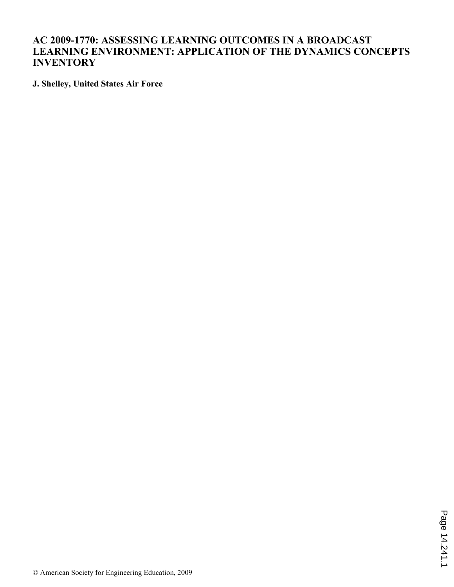## **AC 2009-1770: ASSESSING LEARNING OUTCOMES IN A BROADCAST LEARNING ENVIRONMENT: APPLICATION OF THE DYNAMICS CONCEPTS INVENTORY**

**J. Shelley, United States Air Force**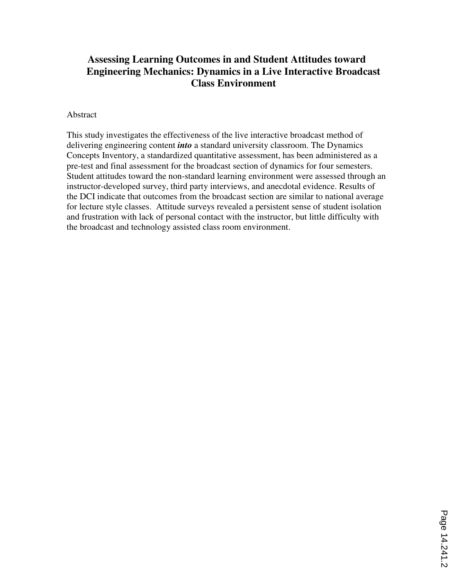# **Assessing Learning Outcomes in and Student Attitudes toward Engineering Mechanics: Dynamics in a Live Interactive Broadcast Class Environment**

## Abstract

This study investigates the effectiveness of the live interactive broadcast method of delivering engineering content *into* a standard university classroom. The Dynamics Concepts Inventory, a standardized quantitative assessment, has been administered as a pre-test and final assessment for the broadcast section of dynamics for four semesters. Student attitudes toward the non-standard learning environment were assessed through an instructor-developed survey, third party interviews, and anecdotal evidence. Results of the DCI indicate that outcomes from the broadcast section are similar to national average for lecture style classes. Attitude surveys revealed a persistent sense of student isolation and frustration with lack of personal contact with the instructor, but little difficulty with the broadcast and technology assisted class room environment.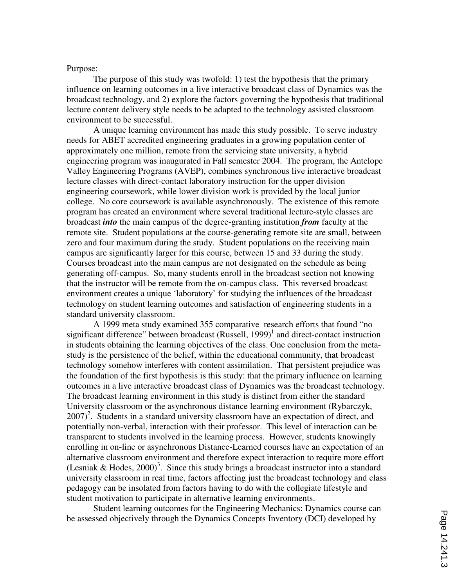## Purpose:

The purpose of this study was twofold: 1) test the hypothesis that the primary influence on learning outcomes in a live interactive broadcast class of Dynamics was the broadcast technology, and 2) explore the factors governing the hypothesis that traditional lecture content delivery style needs to be adapted to the technology assisted classroom environment to be successful.

A unique learning environment has made this study possible. To serve industry needs for ABET accredited engineering graduates in a growing population center of approximately one million, remote from the servicing state university, a hybrid engineering program was inaugurated in Fall semester 2004. The program, the Antelope Valley Engineering Programs (AVEP), combines synchronous live interactive broadcast lecture classes with direct-contact laboratory instruction for the upper division engineering coursework, while lower division work is provided by the local junior college. No core coursework is available asynchronously. The existence of this remote program has created an environment where several traditional lecture-style classes are broadcast *into* the main campus of the degree-granting institution *from* faculty at the remote site. Student populations at the course-generating remote site are small, between zero and four maximum during the study. Student populations on the receiving main campus are significantly larger for this course, between 15 and 33 during the study. Courses broadcast into the main campus are not designated on the schedule as being generating off-campus. So, many students enroll in the broadcast section not knowing that the instructor will be remote from the on-campus class. This reversed broadcast environment creates a unique 'laboratory' for studying the influences of the broadcast technology on student learning outcomes and satisfaction of engineering students in a standard university classroom.

A 1999 meta study examined 355 comparative research efforts that found "no significant difference" between broadcast  $(Russell, 1999)$ <sup>1</sup> and direct-contact instruction in students obtaining the learning objectives of the class. One conclusion from the metastudy is the persistence of the belief, within the educational community, that broadcast technology somehow interferes with content assimilation. That persistent prejudice was the foundation of the first hypothesis is this study: that the primary influence on learning outcomes in a live interactive broadcast class of Dynamics was the broadcast technology. The broadcast learning environment in this study is distinct from either the standard University classroom or the asynchronous distance learning environment (Rybarczyk,  $2007$ <sup>2</sup>. Students in a standard university classroom have an expectation of direct, and potentially non-verbal, interaction with their professor. This level of interaction can be transparent to students involved in the learning process. However, students knowingly enrolling in on-line or asynchronous Distance-Learned courses have an expectation of an alternative classroom environment and therefore expect interaction to require more effort (Lesniak & Hodes,  $2000$ )<sup>3</sup>. Since this study brings a broadcast instructor into a standard university classroom in real time, factors affecting just the broadcast technology and class pedagogy can be insolated from factors having to do with the collegiate lifestyle and student motivation to participate in alternative learning environments.

Student learning outcomes for the Engineering Mechanics: Dynamics course can be assessed objectively through the Dynamics Concepts Inventory (DCI) developed by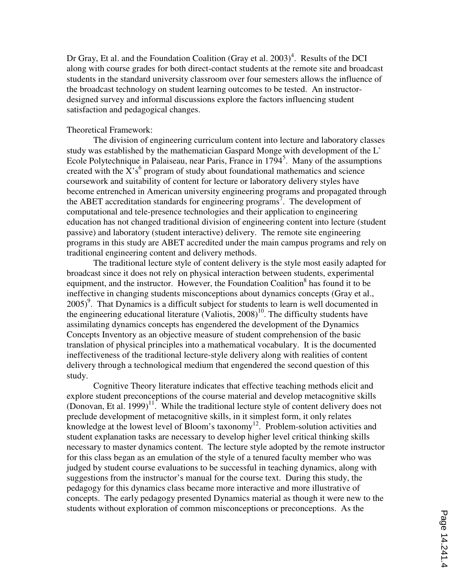Dr Gray, Et al. and the Foundation Coalition (Gray et al.  $2003)^4$ . Results of the DCI along with course grades for both direct-contact students at the remote site and broadcast students in the standard university classroom over four semesters allows the influence of the broadcast technology on student learning outcomes to be tested. An instructordesigned survey and informal discussions explore the factors influencing student satisfaction and pedagogical changes.

## Theoretical Framework:

 The division of engineering curriculum content into lecture and laboratory classes study was established by the mathematician Gaspard Monge with development of the  $L$ Ecole Polytechnique in Palaiseau, near Paris, France in 1794<sup>5</sup>. Many of the assumptions created with the  $\overline{X}$ 's<sup>6</sup> program of study about foundational mathematics and science coursework and suitability of content for lecture or laboratory delivery styles have become entrenched in American university engineering programs and propagated through the ABET accreditation standards for engineering programs<sup>7</sup>. The development of computational and tele-presence technologies and their application to engineering education has not changed traditional division of engineering content into lecture (student passive) and laboratory (student interactive) delivery. The remote site engineering programs in this study are ABET accredited under the main campus programs and rely on traditional engineering content and delivery methods.

The traditional lecture style of content delivery is the style most easily adapted for broadcast since it does not rely on physical interaction between students, experimental equipment, and the instructor. However, the Foundation Coalition<sup>8</sup> has found it to be ineffective in changing students misconceptions about dynamics concepts (Gray et al., 2005)<sup>9</sup>. That Dynamics is a difficult subject for students to learn is well documented in the engineering educational literature (Valiotis,  $2008$ )<sup>10</sup>. The difficulty students have assimilating dynamics concepts has engendered the development of the Dynamics Concepts Inventory as an objective measure of student comprehension of the basic translation of physical principles into a mathematical vocabulary. It is the documented ineffectiveness of the traditional lecture-style delivery along with realities of content delivery through a technological medium that engendered the second question of this study.

Cognitive Theory literature indicates that effective teaching methods elicit and explore student preconceptions of the course material and develop metacognitive skills (Donovan, Et al. 1999)<sup>11</sup>. While the traditional lecture style of content delivery does not preclude development of metacognitive skills, in it simplest form, it only relates knowledge at the lowest level of Bloom's taxonomy<sup>12</sup>. Problem-solution activities and student explanation tasks are necessary to develop higher level critical thinking skills necessary to master dynamics content. The lecture style adopted by the remote instructor for this class began as an emulation of the style of a tenured faculty member who was judged by student course evaluations to be successful in teaching dynamics, along with suggestions from the instructor's manual for the course text. During this study, the pedagogy for this dynamics class became more interactive and more illustrative of concepts. The early pedagogy presented Dynamics material as though it were new to the students without exploration of common misconceptions or preconceptions. As the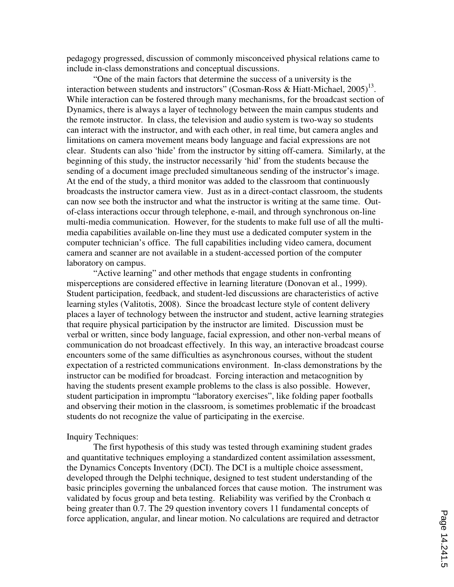pedagogy progressed, discussion of commonly misconceived physical relations came to include in-class demonstrations and conceptual discussions.

"One of the main factors that determine the success of a university is the interaction between students and instructors" (Cosman-Ross & Hiatt-Michael,  $2005$ )<sup>13</sup>. While interaction can be fostered through many mechanisms, for the broadcast section of Dynamics, there is always a layer of technology between the main campus students and the remote instructor. In class, the television and audio system is two-way so students can interact with the instructor, and with each other, in real time, but camera angles and limitations on camera movement means body language and facial expressions are not clear. Students can also 'hide' from the instructor by sitting off-camera. Similarly, at the beginning of this study, the instructor necessarily 'hid' from the students because the sending of a document image precluded simultaneous sending of the instructor's image. At the end of the study, a third monitor was added to the classroom that continuously broadcasts the instructor camera view. Just as in a direct-contact classroom, the students can now see both the instructor and what the instructor is writing at the same time. Outof-class interactions occur through telephone, e-mail, and through synchronous on-line multi-media communication. However, for the students to make full use of all the multimedia capabilities available on-line they must use a dedicated computer system in the computer technician's office. The full capabilities including video camera, document camera and scanner are not available in a student-accessed portion of the computer laboratory on campus.

"Active learning" and other methods that engage students in confronting misperceptions are considered effective in learning literature (Donovan et al., 1999). Student participation, feedback, and student-led discussions are characteristics of active learning styles (Valitotis, 2008). Since the broadcast lecture style of content delivery places a layer of technology between the instructor and student, active learning strategies that require physical participation by the instructor are limited. Discussion must be verbal or written, since body language, facial expression, and other non-verbal means of communication do not broadcast effectively. In this way, an interactive broadcast course encounters some of the same difficulties as asynchronous courses, without the student expectation of a restricted communications environment. In-class demonstrations by the instructor can be modified for broadcast. Forcing interaction and metacognition by having the students present example problems to the class is also possible. However, student participation in impromptu "laboratory exercises", like folding paper footballs and observing their motion in the classroom, is sometimes problematic if the broadcast students do not recognize the value of participating in the exercise.

#### Inquiry Techniques:

 The first hypothesis of this study was tested through examining student grades and quantitative techniques employing a standardized content assimilation assessment, the Dynamics Concepts Inventory (DCI). The DCI is a multiple choice assessment, developed through the Delphi technique, designed to test student understanding of the basic principles governing the unbalanced forces that cause motion. The instrument was validated by focus group and beta testing. Reliability was verified by the Cronbach  $\alpha$ being greater than 0.7. The 29 question inventory covers 11 fundamental concepts of force application, angular, and linear motion. No calculations are required and detractor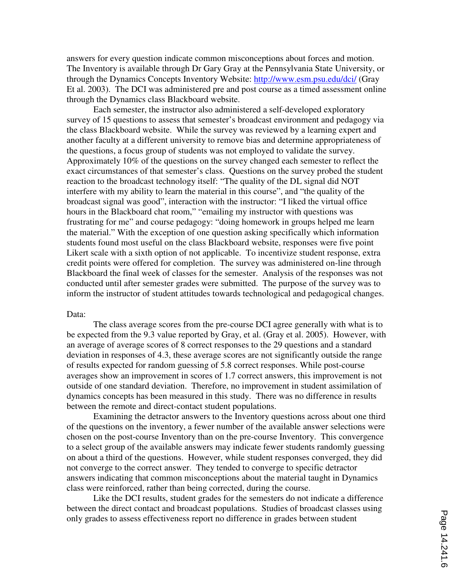answers for every question indicate common misconceptions about forces and motion. The Inventory is available through Dr Gary Gray at the Pennsylvania State University, or through the Dynamics Concepts Inventory Website: http://www.esm.psu.edu/dci/ (Gray Et al. 2003). The DCI was administered pre and post course as a timed assessment online through the Dynamics class Blackboard website.

Each semester, the instructor also administered a self-developed exploratory survey of 15 questions to assess that semester's broadcast environment and pedagogy via the class Blackboard website. While the survey was reviewed by a learning expert and another faculty at a different university to remove bias and determine appropriateness of the questions, a focus group of students was not employed to validate the survey. Approximately 10% of the questions on the survey changed each semester to reflect the exact circumstances of that semester's class. Questions on the survey probed the student reaction to the broadcast technology itself: "The quality of the DL signal did NOT interfere with my ability to learn the material in this course", and "the quality of the broadcast signal was good", interaction with the instructor: "I liked the virtual office hours in the Blackboard chat room," "emailing my instructor with questions was frustrating for me" and course pedagogy: "doing homework in groups helped me learn the material." With the exception of one question asking specifically which information students found most useful on the class Blackboard website, responses were five point Likert scale with a sixth option of not applicable. To incentivize student response, extra credit points were offered for completion. The survey was administered on-line through Blackboard the final week of classes for the semester. Analysis of the responses was not conducted until after semester grades were submitted. The purpose of the survey was to inform the instructor of student attitudes towards technological and pedagogical changes.

#### Data:

The class average scores from the pre-course DCI agree generally with what is to be expected from the 9.3 value reported by Gray, et al. (Gray et al. 2005). However, with an average of average scores of 8 correct responses to the 29 questions and a standard deviation in responses of 4.3, these average scores are not significantly outside the range of results expected for random guessing of 5.8 correct responses. While post-course averages show an improvement in scores of 1.7 correct answers, this improvement is not outside of one standard deviation. Therefore, no improvement in student assimilation of dynamics concepts has been measured in this study. There was no difference in results between the remote and direct-contact student populations.

Examining the detractor answers to the Inventory questions across about one third of the questions on the inventory, a fewer number of the available answer selections were chosen on the post-course Inventory than on the pre-course Inventory. This convergence to a select group of the available answers may indicate fewer students randomly guessing on about a third of the questions. However, while student responses converged, they did not converge to the correct answer. They tended to converge to specific detractor answers indicating that common misconceptions about the material taught in Dynamics class were reinforced, rather than being corrected, during the course.

Like the DCI results, student grades for the semesters do not indicate a difference between the direct contact and broadcast populations. Studies of broadcast classes using only grades to assess effectiveness report no difference in grades between student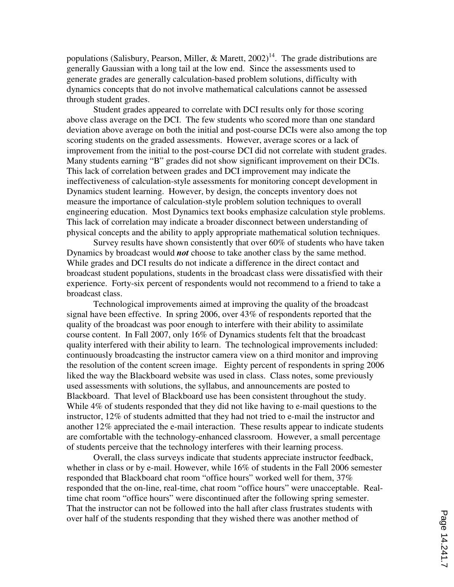populations (Salisbury, Pearson, Miller, & Marett,  $2002$ )<sup>14</sup>. The grade distributions are generally Gaussian with a long tail at the low end. Since the assessments used to generate grades are generally calculation-based problem solutions, difficulty with dynamics concepts that do not involve mathematical calculations cannot be assessed through student grades.

Student grades appeared to correlate with DCI results only for those scoring above class average on the DCI. The few students who scored more than one standard deviation above average on both the initial and post-course DCIs were also among the top scoring students on the graded assessments. However, average scores or a lack of improvement from the initial to the post-course DCI did not correlate with student grades. Many students earning "B" grades did not show significant improvement on their DCIs. This lack of correlation between grades and DCI improvement may indicate the ineffectiveness of calculation-style assessments for monitoring concept development in Dynamics student learning. However, by design, the concepts inventory does not measure the importance of calculation-style problem solution techniques to overall engineering education. Most Dynamics text books emphasize calculation style problems. This lack of correlation may indicate a broader disconnect between understanding of physical concepts and the ability to apply appropriate mathematical solution techniques.

Survey results have shown consistently that over 60% of students who have taken Dynamics by broadcast would *not* choose to take another class by the same method. While grades and DCI results do not indicate a difference in the direct contact and broadcast student populations, students in the broadcast class were dissatisfied with their experience. Forty-six percent of respondents would not recommend to a friend to take a broadcast class.

Technological improvements aimed at improving the quality of the broadcast signal have been effective. In spring 2006, over 43% of respondents reported that the quality of the broadcast was poor enough to interfere with their ability to assimilate course content. In Fall 2007, only 16% of Dynamics students felt that the broadcast quality interfered with their ability to learn. The technological improvements included: continuously broadcasting the instructor camera view on a third monitor and improving the resolution of the content screen image. Eighty percent of respondents in spring 2006 liked the way the Blackboard website was used in class. Class notes, some previously used assessments with solutions, the syllabus, and announcements are posted to Blackboard. That level of Blackboard use has been consistent throughout the study. While 4% of students responded that they did not like having to e-mail questions to the instructor, 12% of students admitted that they had not tried to e-mail the instructor and another 12% appreciated the e-mail interaction. These results appear to indicate students are comfortable with the technology-enhanced classroom. However, a small percentage of students perceive that the technology interferes with their learning process.

Overall, the class surveys indicate that students appreciate instructor feedback, whether in class or by e-mail. However, while 16% of students in the Fall 2006 semester responded that Blackboard chat room "office hours" worked well for them, 37% responded that the on-line, real-time, chat room "office hours" were unacceptable. Realtime chat room "office hours" were discontinued after the following spring semester. That the instructor can not be followed into the hall after class frustrates students with over half of the students responding that they wished there was another method of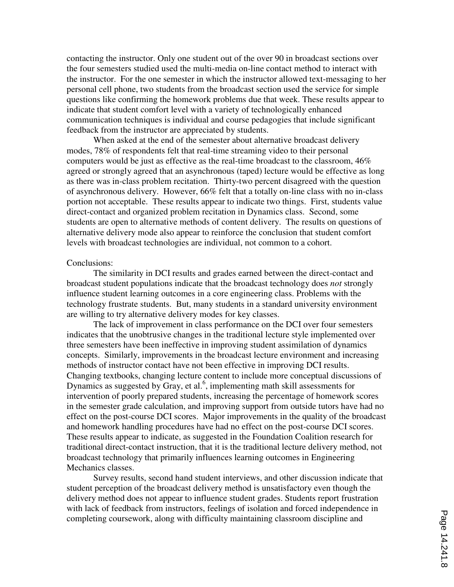contacting the instructor. Only one student out of the over 90 in broadcast sections over the four semesters studied used the multi-media on-line contact method to interact with the instructor. For the one semester in which the instructor allowed text-messaging to her personal cell phone, two students from the broadcast section used the service for simple questions like confirming the homework problems due that week. These results appear to indicate that student comfort level with a variety of technologically enhanced communication techniques is individual and course pedagogies that include significant feedback from the instructor are appreciated by students.

When asked at the end of the semester about alternative broadcast delivery modes, 78% of respondents felt that real-time streaming video to their personal computers would be just as effective as the real-time broadcast to the classroom, 46% agreed or strongly agreed that an asynchronous (taped) lecture would be effective as long as there was in-class problem recitation. Thirty-two percent disagreed with the question of asynchronous delivery. However, 66% felt that a totally on-line class with no in-class portion not acceptable. These results appear to indicate two things. First, students value direct-contact and organized problem recitation in Dynamics class. Second, some students are open to alternative methods of content delivery. The results on questions of alternative delivery mode also appear to reinforce the conclusion that student comfort levels with broadcast technologies are individual, not common to a cohort.

#### Conclusions:

The similarity in DCI results and grades earned between the direct-contact and broadcast student populations indicate that the broadcast technology does *not* strongly influence student learning outcomes in a core engineering class. Problems with the technology frustrate students. But, many students in a standard university environment are willing to try alternative delivery modes for key classes.

The lack of improvement in class performance on the DCI over four semesters indicates that the unobtrusive changes in the traditional lecture style implemented over three semesters have been ineffective in improving student assimilation of dynamics concepts. Similarly, improvements in the broadcast lecture environment and increasing methods of instructor contact have not been effective in improving DCI results. Changing textbooks, changing lecture content to include more conceptual discussions of Dynamics as suggested by Gray, et al.<sup>6</sup>, implementing math skill assessments for intervention of poorly prepared students, increasing the percentage of homework scores in the semester grade calculation, and improving support from outside tutors have had no effect on the post-course DCI scores. Major improvements in the quality of the broadcast and homework handling procedures have had no effect on the post-course DCI scores. These results appear to indicate, as suggested in the Foundation Coalition research for traditional direct-contact instruction, that it is the traditional lecture delivery method, not broadcast technology that primarily influences learning outcomes in Engineering Mechanics classes.

Survey results, second hand student interviews, and other discussion indicate that student perception of the broadcast delivery method is unsatisfactory even though the delivery method does not appear to influence student grades. Students report frustration with lack of feedback from instructors, feelings of isolation and forced independence in completing coursework, along with difficulty maintaining classroom discipline and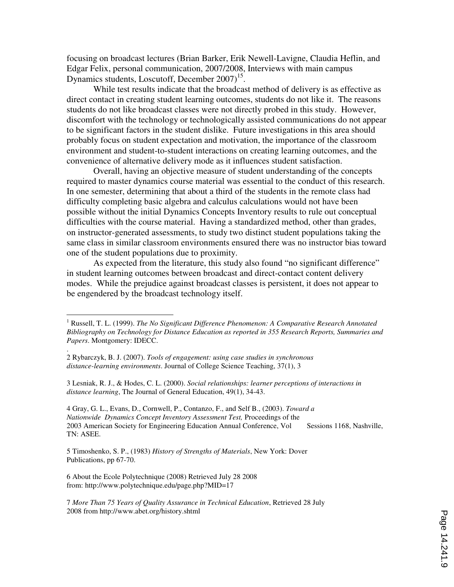focusing on broadcast lectures (Brian Barker, Erik Newell-Lavigne, Claudia Heflin, and Edgar Felix, personal communication, 2007/2008, Interviews with main campus Dynamics students, Loscutoff, December 2007)<sup>15</sup>.

While test results indicate that the broadcast method of delivery is as effective as direct contact in creating student learning outcomes, students do not like it. The reasons students do not like broadcast classes were not directly probed in this study. However, discomfort with the technology or technologically assisted communications do not appear to be significant factors in the student dislike. Future investigations in this area should probably focus on student expectation and motivation, the importance of the classroom environment and student-to-student interactions on creating learning outcomes, and the convenience of alternative delivery mode as it influences student satisfaction.

Overall, having an objective measure of student understanding of the concepts required to master dynamics course material was essential to the conduct of this research. In one semester, determining that about a third of the students in the remote class had difficulty completing basic algebra and calculus calculations would not have been possible without the initial Dynamics Concepts Inventory results to rule out conceptual difficulties with the course material. Having a standardized method, other than grades, on instructor-generated assessments, to study two distinct student populations taking the same class in similar classroom environments ensured there was no instructor bias toward one of the student populations due to proximity.

As expected from the literature, this study also found "no significant difference" in student learning outcomes between broadcast and direct-contact content delivery modes. While the prejudice against broadcast classes is persistent, it does not appear to be engendered by the broadcast technology itself.

3 Lesniak, R. J., & Hodes, C. L. (2000). *Social relationships: learner perceptions of interactions in distance learning*, The Journal of General Education, 49(1), 34-43.

4 Gray, G. L., Evans, D., Cornwell, P., Contanzo, F., and Self B., (2003). *Toward a Nationwide Dynamics Concept Inventory Assessment Test,* Proceedings of the 2003 American Society for Engineering Education Annual Conference, Vol Sessions 1168, Nashville, TN: ASEE.

5 Timoshenko, S. P., (1983) *History of Strengths of Materials*, New York: Dover Publications, pp 67-70.

6 About the Ecole Polytechnique (2008) Retrieved July 28 2008 from: http://www.polytechnique.edu/page.php?MID=17

.

7 *More Than 75 Years of Quality Assurance in Technical Education*, Retrieved 28 July 2008 from http://www.abet.org/history.shtml

 1 Russell, T. L. (1999). *The No Significant Difference Phenomenon: A Comparative Research Annotated Bibliography on Technology for Distance Education as reported in 355 Research Reports, Summaries and Papers*. Montgomery: IDECC.

<sup>2</sup> Rybarczyk, B. J. (2007). *Tools of engagement: using case studies in synchronous distance-learning environments*. Journal of College Science Teaching, 37(1), 3